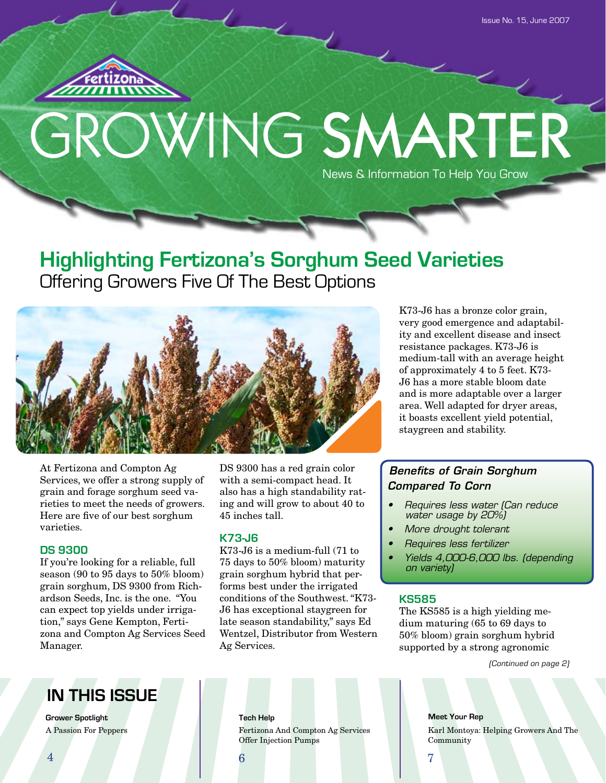

## GROWING SMARTER News & Information To Help You Grow

## **Highlighting Fertizona's Sorghum Seed Varieties** Offering Growers Five Of The Best Options



At Fertizona and Compton Ag Services, we offer a strong supply of grain and forage sorghum seed varieties to meet the needs of growers. Here are five of our best sorghum varieties.

#### **DS 9300**

If you're looking for a reliable, full season (90 to 95 days to 50% bloom) grain sorghum, DS 9300 from Richardson Seeds, Inc. is the one. "You can expect top yields under irrigation," says Gene Kempton, Fertizona and Compton Ag Services Seed Manager.

DS 9300 has a red grain color with a semi-compact head. It also has a high standability rating and will grow to about 40 to 45 inches tall.

#### **K73-J6**

K73-J6 is a medium-full (71 to 75 days to 50% bloom) maturity grain sorghum hybrid that performs best under the irrigated conditions of the Southwest. "K73- J6 has exceptional staygreen for late season standability," says Ed Wentzel, Distributor from Western Ag Services.

K73-J6 has a bronze color grain, very good emergence and adaptability and excellent disease and insect resistance packages. K73-J6 is medium-tall with an average height of approximately 4 to 5 feet. K73- J6 has a more stable bloom date and is more adaptable over a larger area. Well adapted for dryer areas, it boasts excellent yield potential, staygreen and stability.

#### *Benefits of Grain Sorghum Compared To Corn*

- Requires less water (Can reduce water usage by 20%)
- More drought tolerant
- Requires less fertilizer
- Yields 4,000-6,000 lbs. (depending on variety)

#### **KS585**

The KS585 is a high yielding medium maturing (65 to 69 days to 50% bloom) grain sorghum hybrid supported by a strong agronomic

(Continued on page 2)

## **IN THIS ISSUE**

**Grower Spotlight Tech Help** A Passion For Peppers

Fertizona And Compton Ag Services Offer Injection Pumps

**Meet Your Rep** Karl Montoya: Helping Growers And The Community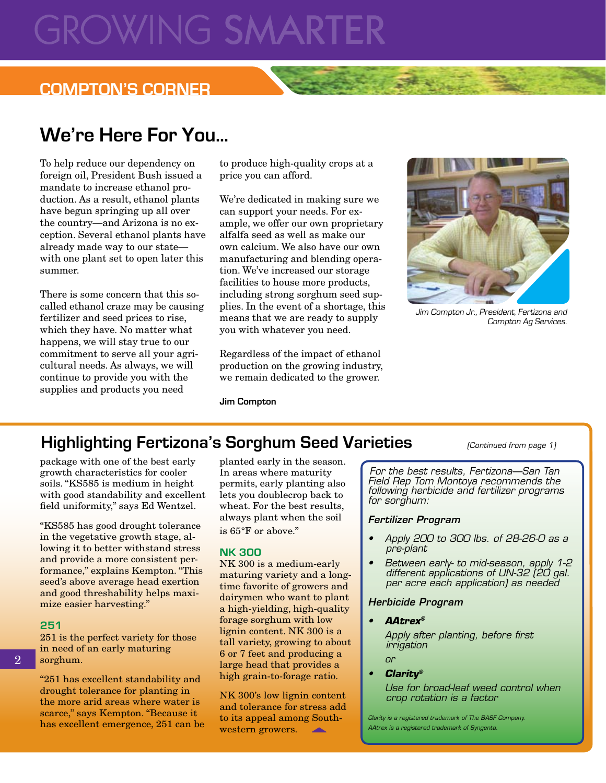## **GROWING SMARTE**

### **COMPTON'S CORNER**

## **We're Here For You...**

To help reduce our dependency on foreign oil, President Bush issued a mandate to increase ethanol production. As a result, ethanol plants have begun springing up all over the country—and Arizona is no exception. Several ethanol plants have already made way to our state with one plant set to open later this summer.

There is some concern that this socalled ethanol craze may be causing fertilizer and seed prices to rise, which they have. No matter what happens, we will stay true to our commitment to serve all your agricultural needs. As always, we will continue to provide you with the supplies and products you need

to produce high-quality crops at a price you can afford.

We're dedicated in making sure we can support your needs. For example, we offer our own proprietary alfalfa seed as well as make our own calcium. We also have our own manufacturing and blending operation. We've increased our storage facilities to house more products, including strong sorghum seed supplies. In the event of a shortage, this means that we are ready to supply you with whatever you need.

Regardless of the impact of ethanol production on the growing industry, we remain dedicated to the grower.

**Jim Compton**



Jim Compton Jr., President, Fertizona and Compton Ag Services.

(Continued from page 1)

## **Highlighting Fertizona's Sorghum Seed Varieties**

package with one of the best early growth characteristics for cooler soils. "KS585 is medium in height with good standability and excellent field uniformity," says Ed Wentzel.

"KS585 has good drought tolerance in the vegetative growth stage, allowing it to better withstand stress and provide a more consistent performance," explains Kempton. "This seed's above average head exertion and good threshability helps maximize easier harvesting."

#### **251**

251 is the perfect variety for those in need of an early maturing sorghum.

"251 has excellent standability and drought tolerance for planting in the more arid areas where water is scarce," says Kempton. "Because it has excellent emergence, 251 can be

planted early in the season. In areas where maturity permits, early planting also lets you doublecrop back to wheat. For the best results, always plant when the soil is 65°F or above."

#### **NK 300**

NK 300 is a medium-early maturing variety and a longtime favorite of growers and dairymen who want to plant a high-yielding, high-quality forage sorghum with low lignin content. NK 300 is a tall variety, growing to about 6 or 7 feet and producing a large head that provides a high grain-to-forage ratio.

NK 300's low lignin content and tolerance for stress add to its appeal among Southwestern growers. **All Service** 

For the best results, Fertizona—San Tan Field Rep Tom Montoya recommends the following herbicide and fertilizer programs for sorghum:

#### *Fertilizer Program*

- Apply 200 to 300 lbs. of 28-26-0 as a pre-plant
- Between early- to mid-season, apply 1-2 different applications of UN-32 (20 gal. per acre each application) as needed

#### *Herbicide Program*

• *AAtrex®*

 Apply after planting, before first irrigation

 or

• *Clarity®*

 Use for broad-leaf weed control when crop rotation is a factor

Clarity is a registered trademark of The BASF Company. AAtrex is a registered trademark of Syngenta.

2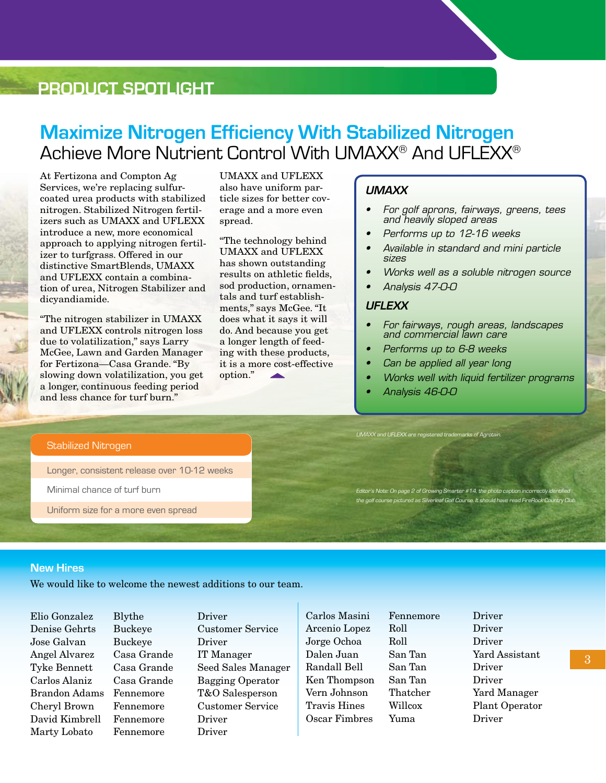### **PRODUCT SPOTLIGHT**

## **Maximize Nitrogen Efficiency With Stabilized Nitrogen** Achieve More Nutrient Control With UMAXX® And UFLEXX®

At Fertizona and Compton Ag Services, we're replacing sulfurcoated urea products with stabilized nitrogen. Stabilized Nitrogen fertilizers such as UMAXX and UFLEXX introduce a new, more economical approach to applying nitrogen fertilizer to turfgrass. Offered in our distinctive SmartBlends, UMAXX and UFLEXX contain a combination of urea, Nitrogen Stabilizer and dicyandiamide.

"The nitrogen stabilizer in UMAXX and UFLEXX controls nitrogen loss due to volatilization," says Larry McGee, Lawn and Garden Manager for Fertizona—Casa Grande. "By slowing down volatilization, you get a longer, continuous feeding period and less chance for turf burn."

UMAXX and UFLEXX also have uniform particle sizes for better coverage and a more even spread.

"The technology behind UMAXX and UFLEXX has shown outstanding results on athletic fields, sod production, ornamentals and turf establishments," says McGee. "It does what it says it will do. And because you get a longer length of feeding with these products, it is a more cost-effective option."

#### *UMAXX*

- • For golf aprons, fairways, greens, tees and heavily sloped areas
- • Performs up to 12-16 weeks
- • Available in standard and mini particle sizes
- Works well as a soluble nitrogen source
- • Analysis 47-0-0

#### *UFLEXX*

- • For fairways, rough areas, landscapes and commercial lawn care
- Performs up to 6-8 weeks
- Can be applied all year long
- • Works well with liquid fertilizer programs
- Analysis 46-0-0

#### Stabilized Nitrogen

Longer, consistent release over 10-12 weeks

Minimal chance of turf burn

Uniform size for a more even spread

UMAXX and UFLEXX are registered trademarks of Agrotain.

Editor's Note: On page 2 of Growing Smarter #14, the photo caption incorrectly identified the golf course pictured as Silverleaf Golf Course. It should have read FireRock Country Club.

#### **New Hires**

We would like to welcome the newest additions to our team.

Jose Galvan Buckeye Driver Angel Alvarez Casa Grande IT Manager David Kimbrell Fennemore Driver Marty Lobato Fennemore Driver

Elio Gonzalez Blythe Driver

Denise Gehrts Buckeye Customer Service Tyke Bennett Casa Grande Seed Sales Manager Carlos Alaniz Casa Grande Bagging Operator Brandon Adams Fennemore T&O Salesperson Cheryl Brown Fennemore Customer Service

Carlos Masini Fennemore Driver Arcenio Lopez Roll Driver Jorge Ochoa Roll Driver Dalen Juan San Tan Yard Assistant Randall Bell San Tan Driver Ken Thompson San Tan Driver Vern Johnson Thatcher Yard Manager Travis Hines Willcox Plant Operator Oscar Fimbres Yuma Driver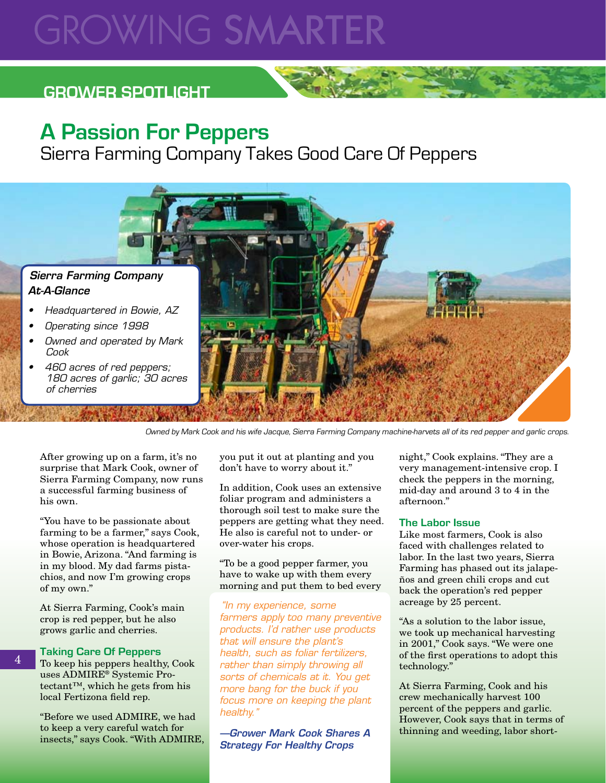## **GROWING SMARTE**

## **GROWER SPOTLIGHT**

## **A Passion For Peppers**

Sierra Farming Company Takes Good Care Of Peppers



Owned by Mark Cook and his wife Jacque, Sierra Farming Company machine-harvets all of its red pepper and garlic crops.

After growing up on a farm, it's no surprise that Mark Cook, owner of Sierra Farming Company, now runs a successful farming business of his own.

"You have to be passionate about farming to be a farmer," says Cook, whose operation is headquartered in Bowie, Arizona. "And farming is in my blood. My dad farms pistachios, and now I'm growing crops of my own."

At Sierra Farming, Cook's main crop is red pepper, but he also grows garlic and cherries.

#### **Taking Care Of Peppers**

4

To keep his peppers healthy, Cook uses ADMIRE® Systemic Protectant™, which he gets from his local Fertizona field rep.

"Before we used ADMIRE, we had to keep a very careful watch for insects," says Cook. "With ADMIRE, you put it out at planting and you don't have to worry about it."

In addition, Cook uses an extensive foliar program and administers a thorough soil test to make sure the peppers are getting what they need. He also is careful not to under- or over-water his crops.

"To be a good pepper farmer, you have to wake up with them every morning and put them to bed every

"In my experience, some farmers apply too many preventive products. I'd rather use products that will ensure the plant's health, such as foliar fertilizers, rather than simply throwing all sorts of chemicals at it. You get more bang for the buck if you focus more on keeping the plant healthy."

*—Grower Mark Cook Shares A Strategy For Healthy Crops*

night," Cook explains. "They are a very management-intensive crop. I check the peppers in the morning, mid-day and around 3 to 4 in the afternoon."

#### **The Labor Issue**

Like most farmers, Cook is also faced with challenges related to labor. In the last two years, Sierra Farming has phased out its jalapeños and green chili crops and cut back the operation's red pepper acreage by 25 percent.

"As a solution to the labor issue, we took up mechanical harvesting in 2001," Cook says. "We were one of the first operations to adopt this technology."

At Sierra Farming, Cook and his crew mechanically harvest 100 percent of the peppers and garlic. However, Cook says that in terms of thinning and weeding, labor short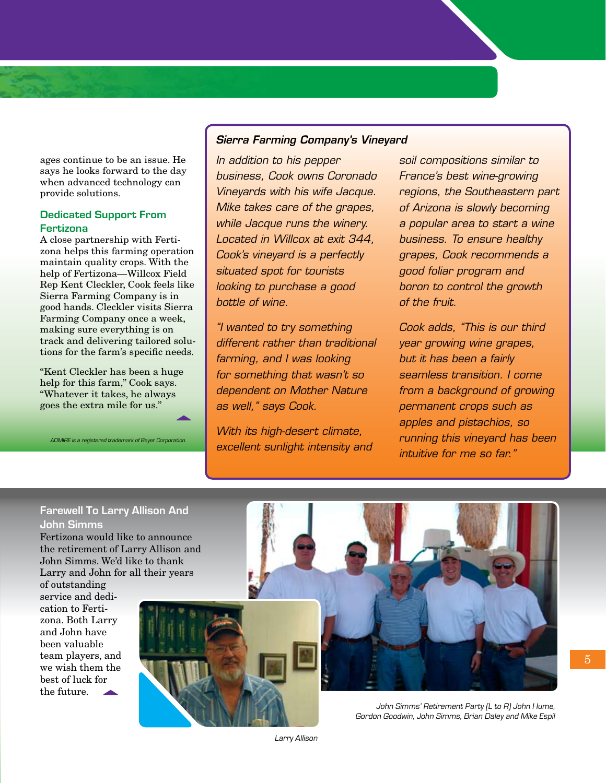ages continue to be an issue. He says he looks forward to the day when advanced technology can provide solutions.

#### **Dedicated Support From Fertizona**

A close partnership with Fertizona helps this farming operation maintain quality crops. With the help of Fertizona—Willcox Field Rep Kent Cleckler, Cook feels like Sierra Farming Company is in good hands. Cleckler visits Sierra Farming Company once a week, making sure everything is on track and delivering tailored solutions for the farm's specific needs.

"Kent Cleckler has been a huge help for this farm," Cook says. "Whatever it takes, he always goes the extra mile for us."

ADMIRE is a registered trademark of Bayer Corporation.

#### *Sierra Farming Company's Vineyard*

In addition to his pepper business, Cook owns Coronado Vineyards with his wife Jacque. Mike takes care of the grapes, while Jacque runs the winery. Located in Willcox at exit 344, Cook's vineyard is a perfectly situated spot for tourists looking to purchase a good bottle of wine.

"I wanted to try something different rather than traditional farming, and I was looking for something that wasn't so dependent on Mother Nature as well," says Cook.

With its high-desert climate, excellent sunlight intensity and soil compositions similar to France's best wine-growing regions, the Southeastern part of Arizona is slowly becoming a popular area to start a wine business. To ensure healthy grapes, Cook recommends a good foliar program and boron to control the growth of the fruit.

Cook adds, "This is our third year growing wine grapes, but it has been a fairly seamless transition. I come from a background of growing permanent crops such as apples and pistachios, so running this vineyard has been intuitive for me so far."

#### **Farewell To Larry Allison And John Simms**

Fertizona would like to announce the retirement of Larry Allison and John Simms. We'd like to thank Larry and John for all their years

of outstanding service and dedication to Fertizona. Both Larry and John have been valuable team players, and we wish them the best of luck for the future.



Gordon Goodwin, John Simms, Brian Daley and Mike Espil

Larry Allison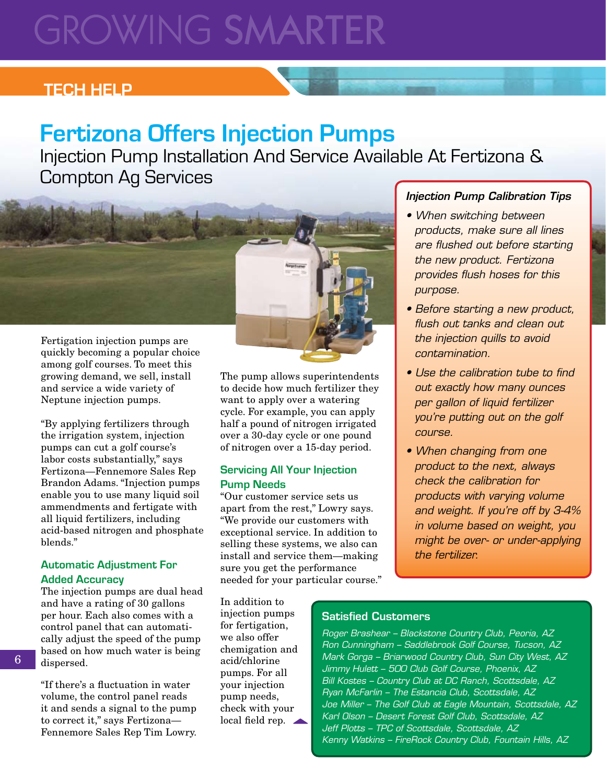## **GROWING SMARTER**

## **TECH HELP**

## **Fertizona Offers Injection Pumps**

Injection Pump Installation And Service Available At Fertizona & Compton Ag Services



quickly becoming a popular choice among golf courses. To meet this growing demand, we sell, install and service a wide variety of Neptune injection pumps.

"By applying fertilizers through the irrigation system, injection pumps can cut a golf course's labor costs substantially," says Fertizona—Fennemore Sales Rep Brandon Adams. "Injection pumps enable you to use many liquid soil ammendments and fertigate with all liquid fertilizers, including acid-based nitrogen and phosphate blends."

#### **Automatic Adjustment For Added Accuracy**

The injection pumps are dual head and have a rating of 30 gallons per hour. Each also comes with a control panel that can automatically adjust the speed of the pump based on how much water is being dispersed.

"If there's a fluctuation in water volume, the control panel reads it and sends a signal to the pump to correct it," says Fertizona— Fennemore Sales Rep Tim Lowry.

The pump allows superintendents to decide how much fertilizer they want to apply over a watering cycle. For example, you can apply half a pound of nitrogen irrigated over a 30-day cycle or one pound of nitrogen over a 15-day period.

#### **Servicing All Your Injection Pump Needs**

"Our customer service sets us apart from the rest," Lowry says. "We provide our customers with exceptional service. In addition to selling these systems, we also can install and service them—making sure you get the performance needed for your particular course." *Injection Pump Calibration Tips*

- When switching between products, make sure all lines are flushed out before starting the new product. Fertizona provides flush hoses for this purpose.
- Before starting a new product, flush out tanks and clean out the injection quills to avoid contamination.
- Use the calibration tube to find out exactly how many ounces per gallon of liquid fertilizer you're putting out on the golf course.
- When changing from one product to the next, always check the calibration for products with varying volume and weight. If you're off by 3-4% in volume based on weight, you might be over- or under-applying the fertilizer.

In addition to injection pumps for fertigation, we also offer chemigation and acid/chlorine pumps. For all your injection pump needs, check with your local field rep.  $\triangle$ 

#### Satisfied Customers

Roger Brashear – Blackstone Country Club, Peoria, AZ Ron Cunningham – Saddlebrook Golf Course, Tucson, AZ Mark Gorga – Briarwood Country Club, Sun City West, AZ Jimmy Hulett – 500 Club Golf Course, Phoenix, AZ Bill Kostes – Country Club at DC Ranch, Scottsdale, AZ Ryan McFarlin – The Estancia Club, Scottsdale, AZ Joe Miller – The Golf Club at Eagle Mountain, Scottsdale, AZ Karl Olson – Desert Forest Golf Club, Scottsdale, AZ Jeff Plotts – TPC of Scottsdale, Scottsdale, AZ Kenny Watkins – FireRock Country Club, Fountain Hills, AZ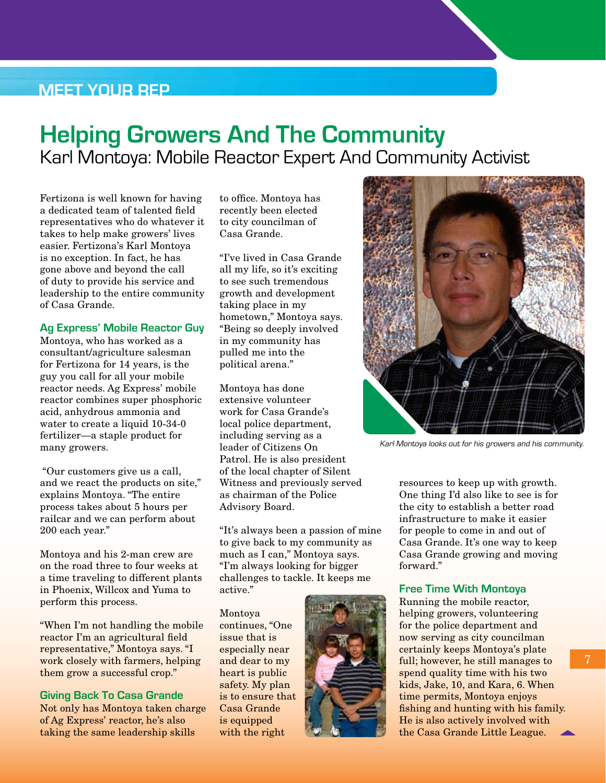### **Meet Your Rep**

## **Helping Growers And The Community** Karl Montoya: Mobile Reactor Expert And Community Activist

Fertizona is well known for having a dedicated team of talented field representatives who do whatever it takes to help make growers' lives easier. Fertizona's Karl Montoya is no exception. In fact, he has gone above and beyond the call of duty to provide his service and leadership to the entire community of Casa Grande.

#### **Ag Express' Mobile Reactor Guy**

Montoya, who has worked as a consultant/agriculture salesman for Fertizona for 14 years, is the guy you call for all your mobile reactor needs. Ag Express' mobile reactor combines super phosphoric acid, anhydrous ammonia and water to create a liquid 10-34-0 fertilizer—a staple product for many growers.

 "Our customers give us a call, and we react the products on site," explains Montoya. "The entire process takes about 5 hours per railcar and we can perform about 200 each year."

Montoya and his 2-man crew are on the road three to four weeks at a time traveling to different plants in Phoenix, Willcox and Yuma to perform this process.

"When I'm not handling the mobile reactor I'm an agricultural field representative," Montoya says. "I work closely with farmers, helping them grow a successful crop."

#### **Giving Back To Casa Grande**

Not only has Montoya taken charge of Ag Express' reactor, he's also taking the same leadership skills

to office. Montoya has recently been elected to city councilman of Casa Grande.

"I've lived in Casa Grande all my life, so it's exciting to see such tremendous growth and development taking place in my hometown," Montoya says. "Being so deeply involved in my community has pulled me into the political arena."

Montoya has done extensive volunteer work for Casa Grande's local police department, including serving as a leader of Citizens On Patrol. He is also president of the local chapter of Silent Witness and previously served as chairman of the Police Advisory Board.

"It's always been a passion of mine to give back to my community as much as I can," Montoya says. "I'm always looking for bigger challenges to tackle. It keeps me active."

Montoya continues, "One issue that is especially near and dear to my heart is public safety. My plan is to ensure that Casa Grande is equipped with the right





Karl Montoya looks out for his growers and his community.

resources to keep up with growth. One thing I'd also like to see is for the city to establish a better road infrastructure to make it easier for people to come in and out of Casa Grande. It's one way to keep Casa Grande growing and moving forward."

#### **Free Time With Montoya**

Running the mobile reactor, helping growers, volunteering for the police department and now serving as city councilman certainly keeps Montoya's plate full; however, he still manages to spend quality time with his two kids, Jake, 10, and Kara, 6. When time permits, Montoya enjoys fishing and hunting with his family. He is also actively involved with the Casa Grande Little League.